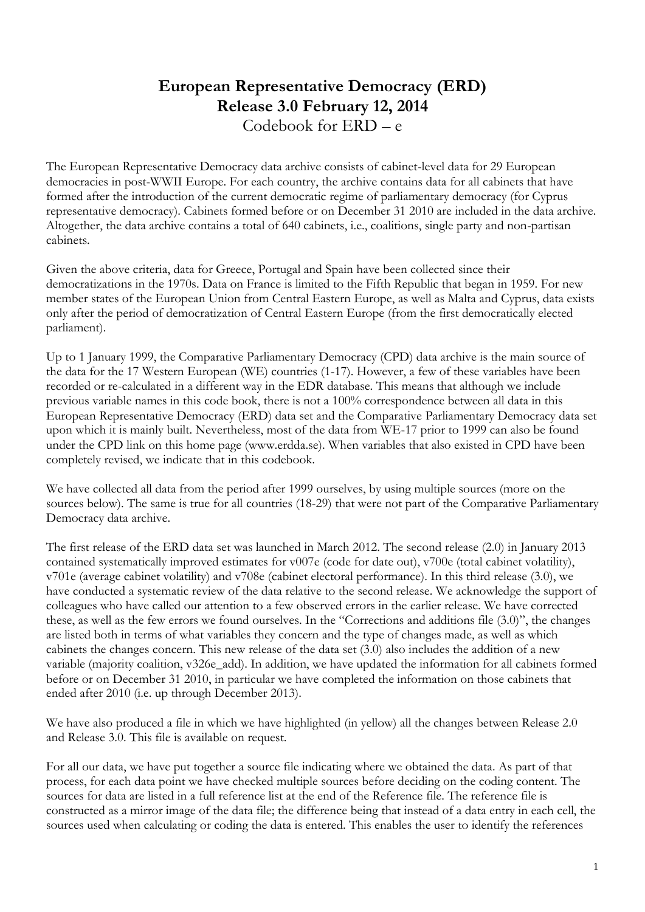# **European Representative Democracy (ERD) Release 3.0 February 12, 2014** Codebook for ERD – e

The European Representative Democracy data archive consists of cabinet-level data for 29 European democracies in post-WWII Europe. For each country, the archive contains data for all cabinets that have formed after the introduction of the current democratic regime of parliamentary democracy (for Cyprus representative democracy). Cabinets formed before or on December 31 2010 are included in the data archive. Altogether, the data archive contains a total of 640 cabinets, i.e., coalitions, single party and non-partisan cabinets.

Given the above criteria, data for Greece, Portugal and Spain have been collected since their democratizations in the 1970s. Data on France is limited to the Fifth Republic that began in 1959. For new member states of the European Union from Central Eastern Europe, as well as Malta and Cyprus, data exists only after the period of democratization of Central Eastern Europe (from the first democratically elected parliament).

Up to 1 January 1999, the Comparative Parliamentary Democracy (CPD) data archive is the main source of the data for the 17 Western European (WE) countries (1-17). However, a few of these variables have been recorded or re-calculated in a different way in the EDR database. This means that although we include previous variable names in this code book, there is not a 100% correspondence between all data in this European Representative Democracy (ERD) data set and the Comparative Parliamentary Democracy data set upon which it is mainly built. Nevertheless, most of the data from WE-17 prior to 1999 can also be found under the CPD link on this home page (www.erdda.se). When variables that also existed in CPD have been completely revised, we indicate that in this codebook.

We have collected all data from the period after 1999 ourselves, by using multiple sources (more on the sources below). The same is true for all countries (18-29) that were not part of the Comparative Parliamentary Democracy data archive.

The first release of the ERD data set was launched in March 2012. The second release (2.0) in January 2013 contained systematically improved estimates for v007e (code for date out), v700e (total cabinet volatility), v701e (average cabinet volatility) and v708e (cabinet electoral performance). In this third release (3.0), we have conducted a systematic review of the data relative to the second release. We acknowledge the support of colleagues who have called our attention to a few observed errors in the earlier release. We have corrected these, as well as the few errors we found ourselves. In the "Corrections and additions file (3.0)", the changes are listed both in terms of what variables they concern and the type of changes made, as well as which cabinets the changes concern. This new release of the data set (3.0) also includes the addition of a new variable (majority coalition, v326e\_add). In addition, we have updated the information for all cabinets formed before or on December 31 2010, in particular we have completed the information on those cabinets that ended after 2010 (i.e. up through December 2013).

We have also produced a file in which we have highlighted (in yellow) all the changes between Release 2.0 and Release 3.0. This file is available on request.

For all our data, we have put together a source file indicating where we obtained the data. As part of that process, for each data point we have checked multiple sources before deciding on the coding content. The sources for data are listed in a full reference list at the end of the Reference file. The reference file is constructed as a mirror image of the data file; the difference being that instead of a data entry in each cell, the sources used when calculating or coding the data is entered. This enables the user to identify the references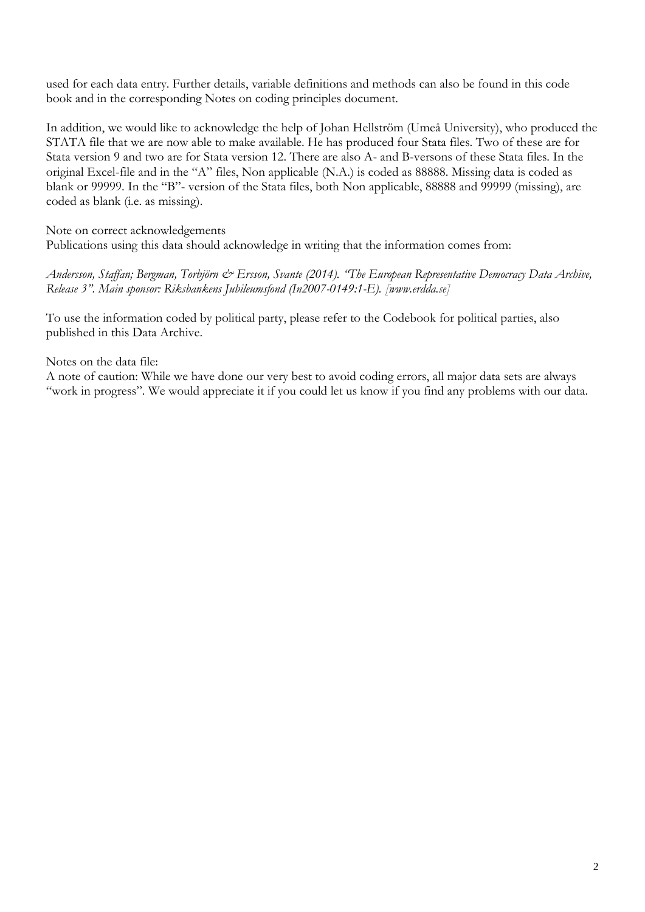used for each data entry. Further details, variable definitions and methods can also be found in this code book and in the corresponding Notes on coding principles document.

In addition, we would like to acknowledge the help of Johan Hellström (Umeå University), who produced the STATA file that we are now able to make available. He has produced four Stata files. Two of these are for Stata version 9 and two are for Stata version 12. There are also A- and B-versons of these Stata files. In the original Excel-file and in the "A" files, Non applicable (N.A.) is coded as 88888. Missing data is coded as blank or 99999. In the "B"- version of the Stata files, both Non applicable, 88888 and 99999 (missing), are coded as blank (i.e. as missing).

Note on correct acknowledgements

Publications using this data should acknowledge in writing that the information comes from:

*Andersson, Staffan; Bergman, Torbjörn & Ersson, Svante (2014). "The European Representative Democracy Data Archive, Release 3". Main sponsor: Riksbankens Jubileumsfond (In2007-0149:1-E). [www.erdda.se]*

To use the information coded by political party, please refer to the Codebook for political parties, also published in this Data Archive.

Notes on the data file:

A note of caution: While we have done our very best to avoid coding errors, all major data sets are always "work in progress". We would appreciate it if you could let us know if you find any problems with our data.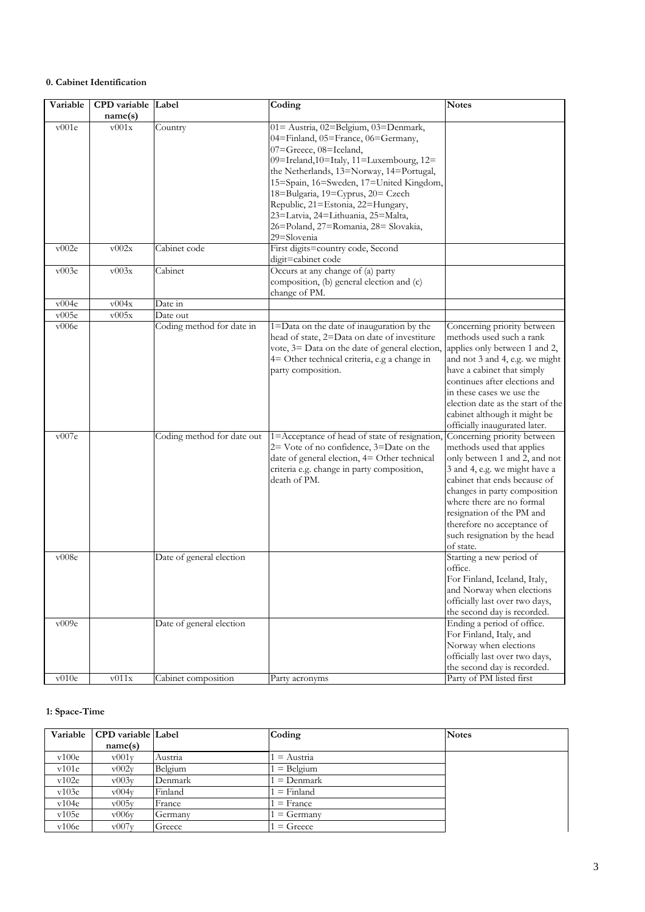#### **0. Cabinet Identification**

| Variable | CPD variable Label<br>name(s) |                            | Coding                                                                                                                                                                                                                                                                                                                                                                                                        | <b>Notes</b>                                                                                                                                                                                                                                                                                                                    |
|----------|-------------------------------|----------------------------|---------------------------------------------------------------------------------------------------------------------------------------------------------------------------------------------------------------------------------------------------------------------------------------------------------------------------------------------------------------------------------------------------------------|---------------------------------------------------------------------------------------------------------------------------------------------------------------------------------------------------------------------------------------------------------------------------------------------------------------------------------|
| v001e    | v001x                         | Country                    | 01= Austria, 02=Belgium, 03=Denmark,<br>04=Finland, 05=France, 06=Germany,<br>07=Greece, 08=Iceland,<br>09=Ireland,10=Italy, 11=Luxembourg, 12=<br>the Netherlands, 13=Norway, 14=Portugal,<br>15=Spain, 16=Sweden, 17=United Kingdom,<br>18=Bulgaria, 19=Cyprus, 20= Czech<br>Republic, 21=Estonia, 22=Hungary,<br>23=Latvia, 24=Lithuania, 25=Malta,<br>26=Poland, 27=Romania, 28= Slovakia,<br>29=Slovenia |                                                                                                                                                                                                                                                                                                                                 |
| v002e    | v002x                         | Cabinet code               | First digits=country code, Second<br>digit=cabinet code                                                                                                                                                                                                                                                                                                                                                       |                                                                                                                                                                                                                                                                                                                                 |
| v003e    | v003x                         | Cabinet                    | Occurs at any change of (a) party<br>composition, (b) general election and (c)<br>change of PM.                                                                                                                                                                                                                                                                                                               |                                                                                                                                                                                                                                                                                                                                 |
| v004e    | v004x                         | Date in                    |                                                                                                                                                                                                                                                                                                                                                                                                               |                                                                                                                                                                                                                                                                                                                                 |
| v005e    | v005x                         | Date out                   |                                                                                                                                                                                                                                                                                                                                                                                                               |                                                                                                                                                                                                                                                                                                                                 |
| v006e    |                               | Coding method for date in  | 1=Data on the date of inauguration by the<br>head of state, 2=Data on date of investiture<br>vote, 3= Data on the date of general election,<br>4= Other technical criteria, e.g a change in<br>party composition.                                                                                                                                                                                             | Concerning priority between<br>methods used such a rank<br>applies only between 1 and 2,<br>and not 3 and 4, e.g. we might<br>have a cabinet that simply<br>continues after elections and<br>in these cases we use the<br>election date as the start of the<br>cabinet although it might be<br>officially inaugurated later.    |
| v007e    |                               | Coding method for date out | 1=Acceptance of head of state of resignation,<br>2= Vote of no confidence, 3=Date on the<br>date of general election, 4= Other technical<br>criteria e.g. change in party composition,<br>death of PM.                                                                                                                                                                                                        | Concerning priority between<br>methods used that applies<br>only between 1 and 2, and not<br>3 and 4, e.g. we might have a<br>cabinet that ends because of<br>changes in party composition<br>where there are no formal<br>resignation of the PM and<br>therefore no acceptance of<br>such resignation by the head<br>of state. |
| v008e    |                               | Date of general election   |                                                                                                                                                                                                                                                                                                                                                                                                               | Starting a new period of<br>office.<br>For Finland, Iceland, Italy,<br>and Norway when elections<br>officially last over two days,<br>the second day is recorded.                                                                                                                                                               |
| v009e    |                               | Date of general election   |                                                                                                                                                                                                                                                                                                                                                                                                               | Ending a period of office.<br>For Finland, Italy, and<br>Norway when elections<br>officially last over two days,<br>the second day is recorded.                                                                                                                                                                                 |
| v010e    | $\rm v011x$                   | Cabinet composition        | Party acronyms                                                                                                                                                                                                                                                                                                                                                                                                | Party of PM listed first                                                                                                                                                                                                                                                                                                        |

# **1: Space-Time**

| Variable | <b>CPD</b> variable Label |         | Coding      | <b>Notes</b> |
|----------|---------------------------|---------|-------------|--------------|
|          | name(s)                   |         |             |              |
| v100e    | $\mathrm{v}001\mathrm{v}$ | Austria | $=$ Austria |              |
| v101e    | v002v                     | Belgium | $=$ Belgium |              |
| v102e    | v003v                     | Denmark | $=$ Denmark |              |
| v103e    | v004v                     | Finland | $=$ Finland |              |
| v104e    | v005v                     | France  | $=$ France  |              |
| v105e    | v006v                     | Germany | $=$ Germany |              |
| v106e    | v007v                     | Greece  | $=$ Greece  |              |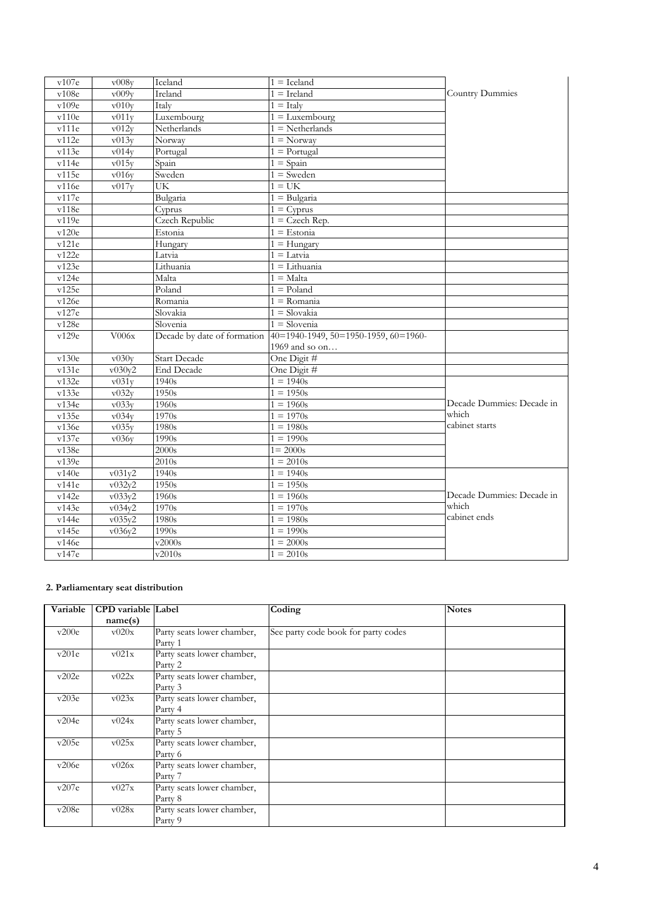| v107e | v008v  | Iceland             | $1 =$ Iceland                                                    |                           |
|-------|--------|---------------------|------------------------------------------------------------------|---------------------------|
| v108e | v009y  | Ireland             | $1 = Ireland$                                                    | Country Dummies           |
| v109e | v010v  | Italy               | $1 =$ Italy                                                      |                           |
| v110e | v011v  | Luxembourg          | $1 =$ Luxembourg                                                 |                           |
| v111e | v012y  | Netherlands         | $1 = \text{Netherlands}$                                         |                           |
| v112e | v013v  | Norway              | $1 = \text{Norway}$                                              |                           |
| v113e | v014y  | Portugal            | $1 =$ Portugal                                                   |                           |
| v114e | v015y  | Spain               | $1 =$ Spain                                                      |                           |
| v115e | v016y  | Sweden              | $1 =$ Sweden                                                     |                           |
| v116e | v017y  | UK                  | $1 = UK$                                                         |                           |
| v117e |        | Bulgaria            | $1 = Bulgaria$                                                   |                           |
| v118e |        | Cyprus              | $1 = \text{Cyprus}$                                              |                           |
| v119e |        | Czech Republic      | $1 = C$ zech Rep.                                                |                           |
| v120e |        | Estonia             | $1 =$ Estonia                                                    |                           |
| v121e |        | Hungary             | $1 =$ Hungary                                                    |                           |
| v122e |        | Latvia              | $1 =$ Latvia                                                     |                           |
| v123e |        | Lithuania           | $1 =$ Lithuania                                                  |                           |
| v124e |        | Malta               | $1 = \overline{\text{Malta}}$                                    |                           |
| v125e |        | Poland              | $1 =$ Poland                                                     |                           |
| v126e |        | Romania             | $1 =$ Romania                                                    |                           |
| v127e |        | Slovakia            | $1 =$ Slovakia                                                   |                           |
| v128e |        | Slovenia            | $1 =$ Slovenia                                                   |                           |
| v129e | V006x  |                     | Decade by date of formation 40=1940-1949, 50=1950-1959, 60=1960- |                           |
|       |        |                     | 1969 and so on                                                   |                           |
| v130e | v030v  | <b>Start Decade</b> | One Digit #                                                      |                           |
| v131e | v030y2 | End Decade          | One Digit #                                                      |                           |
| v132e | v031y  | 1940s               | $1 = 1940s$                                                      |                           |
| v133e | v032y  | 1950s               | $1 = 1950s$                                                      |                           |
| v134e | v033y  | 1960s               | $1 = 1960s$                                                      | Decade Dummies: Decade in |
| v135e | v034y  | 1970s               | $1 = 1970s$                                                      | which                     |
| v136e | v035y  | 1980s               | $1 = 1980s$                                                      | cabinet starts            |
| v137e | v036v  | 1990s               | $1 = 1990s$                                                      |                           |
| v138e |        | 2000s               | $1 = 2000s$                                                      |                           |
| v139e |        | 2010 <sub>s</sub>   | $1 = 2010s$                                                      |                           |
| v140e | v031v2 | 1940s               | $1 = 1940s$                                                      |                           |
| v141e | v032y2 | 1950s               | $1 = 1950s$                                                      |                           |
| v142e | v033y2 | 1960s               | $1 = 1960s$                                                      | Decade Dummies: Decade in |
| v143e | v034y2 | 1970s               | $1 = 1970s$                                                      | which                     |
| v144e | v035y2 | 1980s               | $1 = 1980s$                                                      | cabinet ends              |
| v145e | v036y2 | 1990s               | $1 = 1990s$                                                      |                           |
| v146e |        | v2000s              | $1 = 2000s$                                                      |                           |
| v147e |        | v2010s              | $1 = 2010s$                                                      |                           |

# **2. Parliamentary seat distribution**

| Variable | <b>CPD</b> variable Label |                            | Coding                              | <b>Notes</b> |
|----------|---------------------------|----------------------------|-------------------------------------|--------------|
|          | name(s)                   |                            |                                     |              |
| v200e    | v020x                     | Party seats lower chamber, | See party code book for party codes |              |
|          |                           | Party 1                    |                                     |              |
| v201e    | v021x                     | Party seats lower chamber, |                                     |              |
|          |                           | Party 2                    |                                     |              |
| v202e    | v022x                     | Party seats lower chamber, |                                     |              |
|          |                           | Party 3                    |                                     |              |
| v203e    | v023x                     | Party seats lower chamber, |                                     |              |
|          |                           | Party 4                    |                                     |              |
| v204e    | v024x                     | Party seats lower chamber, |                                     |              |
|          |                           | Party 5                    |                                     |              |
| v205e    | v025x                     | Party seats lower chamber, |                                     |              |
|          |                           | Party 6                    |                                     |              |
| v206e    | v026x                     | Party seats lower chamber, |                                     |              |
|          |                           | Party 7                    |                                     |              |
| v207e    | v027x                     | Party seats lower chamber, |                                     |              |
|          |                           | Party 8                    |                                     |              |
| v208e    | v028x                     | Party seats lower chamber, |                                     |              |
|          |                           | Party 9                    |                                     |              |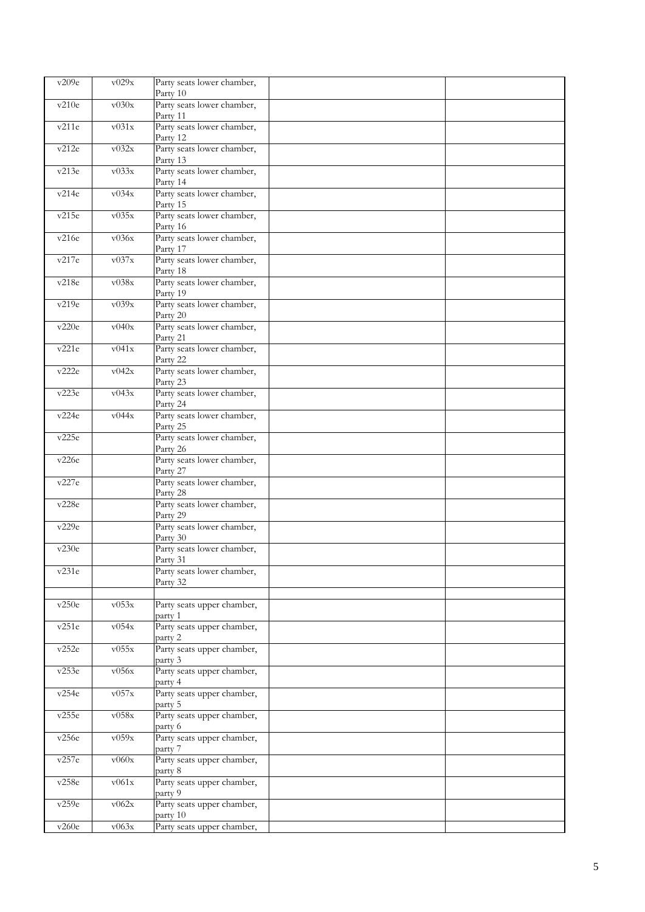| v209e | v029x       | Party seats lower chamber,<br>Party 10 |  |
|-------|-------------|----------------------------------------|--|
| v210e | v030x       | Party seats lower chamber,             |  |
|       |             | Party 11                               |  |
| v211e | v031x       | Party seats lower chamber,<br>Party 12 |  |
| v212e | v032x       | Party seats lower chamber,             |  |
|       |             | Party 13                               |  |
| v213e | v033x       | Party seats lower chamber,<br>Party 14 |  |
| v214e | v034x       | Party seats lower chamber,             |  |
|       |             | Party 15                               |  |
| v215e | v035x       | Party seats lower chamber,<br>Party 16 |  |
| v216e | v036x       | Party seats lower chamber,<br>Party 17 |  |
| v217e | v037x       | Party seats lower chamber,<br>Party 18 |  |
| v218e | v038x       | Party seats lower chamber,             |  |
|       |             | Party 19                               |  |
| v219e | v039x       | Party seats lower chamber,<br>Party 20 |  |
| v220e | v040x       | Party seats lower chamber,<br>Party 21 |  |
| v221e | v041x       | Party seats lower chamber,             |  |
| v222e | v042x       | Party 22<br>Party seats lower chamber, |  |
|       |             | Party 23                               |  |
| v223e | v043x       | Party seats lower chamber,<br>Party 24 |  |
| v224e | v044x       | Party seats lower chamber,             |  |
| v225e |             | Party 25<br>Party seats lower chamber, |  |
|       |             | Party 26                               |  |
| v226e |             | Party seats lower chamber,<br>Party 27 |  |
| v227e |             | Party seats lower chamber,<br>Party 28 |  |
| v228e |             | Party seats lower chamber,<br>Party 29 |  |
| v229e |             | Party seats lower chamber,<br>Party 30 |  |
| v230e |             | Party seats lower chamber,             |  |
| v231e |             | Party 31<br>Party seats lower chamber, |  |
|       |             | Party 32                               |  |
|       |             |                                        |  |
| v250e | v053x       | Party seats upper chamber,<br>party 1  |  |
| v251e | v054x       | Party seats upper chamber,<br>party 2  |  |
| v252e | v055x       | Party seats upper chamber,             |  |
| v253e | v056x       | party 3<br>Party seats upper chamber,  |  |
| v254e | v057x       | party 4<br>Party seats upper chamber,  |  |
|       |             | party 5                                |  |
| v255e | v058x       | Party seats upper chamber,<br>party 6  |  |
| v256e | v059x       | Party seats upper chamber,<br>party 7  |  |
| v257e | v060x       | Party seats upper chamber,<br>party 8  |  |
| v258e | v061x       | Party seats upper chamber,<br>party 9  |  |
| v259e | $\rm v062x$ | Party seats upper chamber,             |  |
| v260e | $\rm v063x$ | party 10<br>Party seats upper chamber, |  |
|       |             |                                        |  |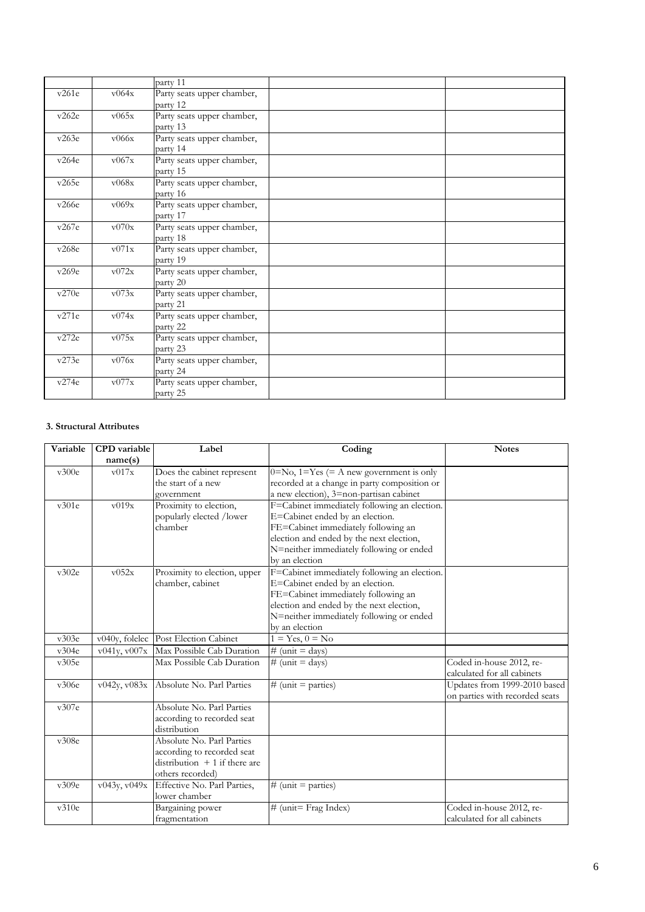|       |       | party 11                               |  |
|-------|-------|----------------------------------------|--|
| v261e | v064x | Party seats upper chamber,<br>party 12 |  |
| v262e | v065x | Party seats upper chamber,<br>party 13 |  |
| v263e | v066x | Party seats upper chamber,<br>party 14 |  |
| v264e | v067x | Party seats upper chamber,<br>party 15 |  |
| v265e | v068x | Party seats upper chamber,<br>party 16 |  |
| v266e | v069x | Party seats upper chamber,<br>party 17 |  |
| v267e | v070x | Party seats upper chamber,<br>party 18 |  |
| v268e | v071x | Party seats upper chamber,<br>party 19 |  |
| v269e | v072x | Party seats upper chamber,<br>party 20 |  |
| v270e | v073x | Party seats upper chamber,<br>party 21 |  |
| v271e | v074x | Party seats upper chamber,<br>party 22 |  |
| v272e | v075x | Party seats upper chamber,<br>party 23 |  |
| v273e | v076x | Party seats upper chamber,<br>party 24 |  |
| v274e | v077x | Party seats upper chamber,<br>party 25 |  |

### **3. Structural Attributes**

| Variable | <b>CPD</b> variable | Label                          | Coding                                         | <b>Notes</b>                   |
|----------|---------------------|--------------------------------|------------------------------------------------|--------------------------------|
|          | name(s)             |                                |                                                |                                |
| v300e    | v017x               | Does the cabinet represent     | $0=N_0$ , $1=Y$ es (= A new government is only |                                |
|          |                     | the start of a new             | recorded at a change in party composition or   |                                |
|          |                     | government                     | a new election), 3=non-partisan cabinet        |                                |
| v301e    | v019x               | Proximity to election,         | F=Cabinet immediately following an election.   |                                |
|          |                     | popularly elected /lower       | E=Cabinet ended by an election.                |                                |
|          |                     | chamber                        | FE=Cabinet immediately following an            |                                |
|          |                     |                                | election and ended by the next election,       |                                |
|          |                     |                                | N=neither immediately following or ended       |                                |
|          |                     |                                | by an election                                 |                                |
| v302e    | v052x               | Proximity to election, upper   | F=Cabinet immediately following an election.   |                                |
|          |                     | chamber, cabinet               | E=Cabinet ended by an election.                |                                |
|          |                     |                                | FE=Cabinet immediately following an            |                                |
|          |                     |                                | election and ended by the next election,       |                                |
|          |                     |                                | N=neither immediately following or ended       |                                |
|          |                     |                                | by an election                                 |                                |
| v303e    | v040y, folelec      | Post Election Cabinet          | $1 = Yes, 0 = No$                              |                                |
| v304e    | v041y, v007x        | Max Possible Cab Duration      | $\overline{\#}$ (unit = days)                  |                                |
| v305e    |                     | Max Possible Cab Duration      | $\#$ (unit = days)                             | Coded in-house 2012, re-       |
|          |                     |                                |                                                | calculated for all cabinets    |
| v306e    | v042y, v083x        | Absolute No. Parl Parties      | # (unit = parties)                             | Updates from 1999-2010 based   |
|          |                     |                                |                                                | on parties with recorded seats |
| v307e    |                     | Absolute No. Parl Parties      |                                                |                                |
|          |                     | according to recorded seat     |                                                |                                |
|          |                     | distribution                   |                                                |                                |
| v308e    |                     | Absolute No. Parl Parties      |                                                |                                |
|          |                     | according to recorded seat     |                                                |                                |
|          |                     | distribution $+1$ if there are |                                                |                                |
|          |                     | others recorded)               |                                                |                                |
| v309e    | v043y, v049x        | Effective No. Parl Parties,    | # (unit = parties)                             |                                |
|          |                     | lower chamber                  |                                                |                                |
| v310e    |                     | Bargaining power               | $#$ (unit= Frag Index)                         | Coded in-house 2012, re-       |
|          |                     | fragmentation                  |                                                | calculated for all cabinets    |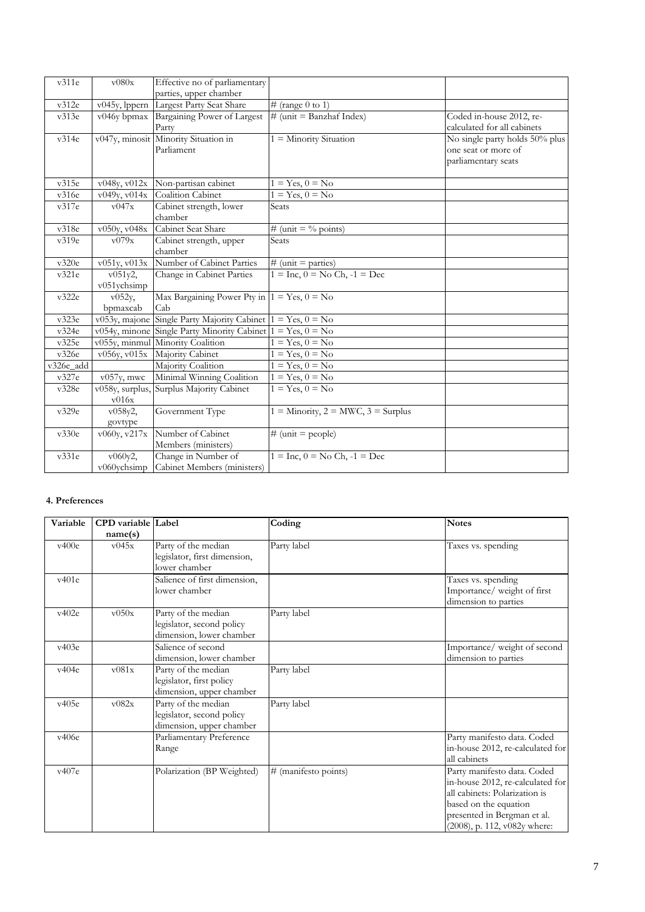| v311e     | v080x                        | Effective no of parliamentary                                 |                                                           |                                |
|-----------|------------------------------|---------------------------------------------------------------|-----------------------------------------------------------|--------------------------------|
|           |                              | parties, upper chamber                                        |                                                           |                                |
| v312e     | v045y, lppern                | Largest Party Seat Share                                      | $\#$ (range 0 to 1)                                       |                                |
| v313e     | v046y bpmax                  | Bargaining Power of Largest                                   | $#$ (unit = Banzhaf Index)                                | Coded in-house 2012, re-       |
|           |                              | Party                                                         |                                                           | calculated for all cabinets    |
| v314e     |                              | v047y, minosit Minority Situation in                          | $1 =$ Minority Situation                                  | No single party holds 50% plus |
|           |                              | Parliament                                                    |                                                           | one seat or more of            |
|           |                              |                                                               |                                                           | parliamentary seats            |
|           |                              |                                                               |                                                           |                                |
| v315e     | v048y, v012x                 | Non-partisan cabinet                                          | $1 = Yes, 0 = No$                                         |                                |
| v316e     | v049v, v014x                 | <b>Coalition Cabinet</b>                                      | $1 = Yes, 0 = No$                                         |                                |
| v317e     | v047x                        | Cabinet strength, lower                                       | Seats                                                     |                                |
|           |                              | chamber                                                       |                                                           |                                |
| v318e     | v050y, v048x                 | Cabinet Seat Share                                            | # (unit = $\%$ points)                                    |                                |
| v319e     | v079x                        | Cabinet strength, upper                                       | Seats                                                     |                                |
|           |                              | chamber                                                       |                                                           |                                |
| v320e     | v051y, v013x                 | Number of Cabinet Parties                                     | # (unit = parties)                                        |                                |
| v321e     | $v051v2$ ,                   | Change in Cabinet Parties                                     | $1 = \text{Inc}$ , $0 = \text{No Ch}$ , $-1 = \text{Dec}$ |                                |
|           | $v051$ ychsimp               |                                                               |                                                           |                                |
| v322e     | $v052y$ ,                    | Max Bargaining Power Pty in $1 = Yes$ , $0 = No$              |                                                           |                                |
|           | bpmaxcab                     | Cab                                                           |                                                           |                                |
| v323e     | v053y, majone                | Single Party Majority Cabinet $1 = Yes, 0 = No$               |                                                           |                                |
| v324e     |                              | v054y, minone Single Party Minority Cabinet $1 = Yes, 0 = No$ |                                                           |                                |
| v325e     |                              | v055y, minmul Minority Coalition                              | $1 = Yes, 0 = No$                                         |                                |
| v326e     | $\overline{v056y}$ , $v015x$ | Majority Cabinet                                              | $1 = Yes, 0 = No$                                         |                                |
| v326e_add |                              | Majority Coalition                                            | $1 = Yes, 0 = No$                                         |                                |
| v327e     | $v057y$ , mwc                | Minimal Winning Coalition                                     | $1 = Yes, 0 = No$                                         |                                |
| v328e     | v058y, surplus,              | Surplus Majority Cabinet                                      | $1 = Yes, 0 = No$                                         |                                |
|           | v016x                        |                                                               |                                                           |                                |
| v329e     | v058y2,                      | Government Type                                               | $1 =$ Minority, $2 =$ MWC, $3 =$ Surplus                  |                                |
|           | govtype                      |                                                               |                                                           |                                |
| v330e     | v060y, v217x                 | Number of Cabinet                                             | # (unit = people)                                         |                                |
|           |                              | Members (ministers)                                           |                                                           |                                |
| v331e     | v060y2,                      | Change in Number of                                           | $1 =$ Inc, $0 =$ No Ch, $-1 =$ Dec                        |                                |
|           | v060ychsimp                  | Cabinet Members (ministers)                                   |                                                           |                                |

# **4. Preferences**

| Variable | <b>CPD</b> variable Label |                                                                              | Coding               | <b>Notes</b>                                                                                                                                                                             |
|----------|---------------------------|------------------------------------------------------------------------------|----------------------|------------------------------------------------------------------------------------------------------------------------------------------------------------------------------------------|
|          | name(s)                   |                                                                              |                      |                                                                                                                                                                                          |
| v400e    | v045x                     | Party of the median<br>legislator, first dimension,<br>lower chamber         | Party label          | Taxes vs. spending                                                                                                                                                                       |
| v401e    |                           | Salience of first dimension,<br>lower chamber                                |                      | Taxes vs. spending<br>Importance/weight of first<br>dimension to parties                                                                                                                 |
| v402e    | v050x                     | Party of the median<br>legislator, second policy<br>dimension, lower chamber | Party label          |                                                                                                                                                                                          |
| v403e    |                           | Salience of second<br>dimension, lower chamber                               |                      | Importance/weight of second<br>dimension to parties                                                                                                                                      |
| v404e    | v081x                     | Party of the median<br>legislator, first policy<br>dimension, upper chamber  | Party label          |                                                                                                                                                                                          |
| v405e    | v082x                     | Party of the median<br>legislator, second policy<br>dimension, upper chamber | Party label          |                                                                                                                                                                                          |
| v406e    |                           | Parliamentary Preference<br>Range                                            |                      | Party manifesto data. Coded<br>in-house 2012, re-calculated for<br>all cabinets                                                                                                          |
| v407e    |                           | Polarization (BP Weighted)                                                   | # (manifesto points) | Party manifesto data. Coded<br>in-house 2012, re-calculated for<br>all cabinets: Polarization is<br>based on the equation<br>presented in Bergman et al.<br>(2008), p. 112, v082y where: |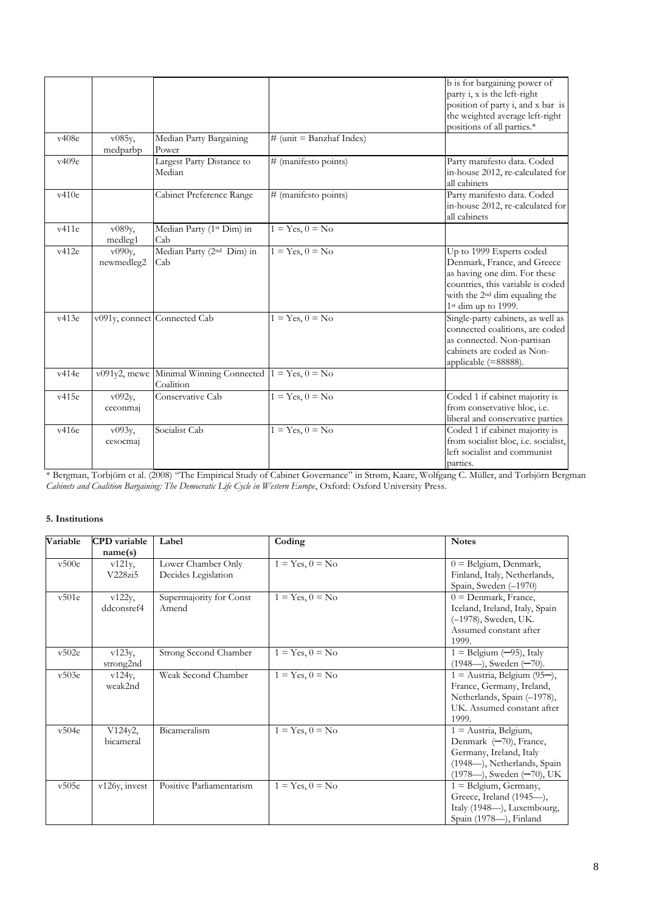|       |                         |                                                          |                            | b is for bargaining power of<br>party i, x is the left-right<br>position of party i, and x bar is<br>the weighted average left-right<br>positions of all parties.*                               |
|-------|-------------------------|----------------------------------------------------------|----------------------------|--------------------------------------------------------------------------------------------------------------------------------------------------------------------------------------------------|
| v408e | v085y,<br>medparbp      | Median Party Bargaining<br>Power                         | $#$ (unit = Banzhaf Index) |                                                                                                                                                                                                  |
| v409e |                         | Largest Party Distance to<br>Median                      | # (manifesto points)       | Party manifesto data. Coded<br>in-house 2012, re-calculated for<br>all cabinets                                                                                                                  |
| v410e |                         | Cabinet Preference Range                                 | # (manifesto points)       | Party manifesto data. Coded<br>in-house 2012, re-calculated for<br>all cabinets                                                                                                                  |
| v411e | v089y,<br>medleg1       | Median Party (1st Dim) in<br>Cab                         | $1 = Yes, 0 = No$          |                                                                                                                                                                                                  |
| v412e | $v090y$ ,<br>newmedleg2 | Median Party (2 <sup>nd</sup> Dim) in<br>Cab             | $1 = Yes, 0 = No$          | Up to 1999 Experts coded<br>Denmark, France, and Greece<br>as having one dim. For these<br>countries, this variable is coded<br>with the 2 <sup>nd</sup> dim equaling the<br>1st dim up to 1999. |
| v413e |                         | v091y, connect Connected Cab                             | $1 = Yes, 0 = No$          | Single-party cabinets, as well as<br>connected coalitions, are coded<br>as connected. Non-partisan<br>cabinets are coded as Non-<br>applicable (=88888).                                         |
| v414e | $v091y2$ , mcwc         | Minimal Winning Connected $1 = Yes, 0 = No$<br>Coalition |                            |                                                                                                                                                                                                  |
| v415e | v092y,<br>ceconmaj      | Conservative Cab                                         | $1 = Yes, 0 = No$          | Coded 1 if cabinet majority is<br>from conservative bloc, i.e.<br>liberal and conservative parties                                                                                               |
| v416e | v093y,<br>cesocmaj      | Socialist Cab                                            | $1 = Yes, 0 = No$          | Coded 1 if cabinet majority is<br>from socialist bloc, i.e. socialist,<br>left socialist and communist<br>parties.                                                                               |

\* Bergman, Torbjörn et al. (2008) "The Empirical Study of Cabinet Governance" in Strøm, Kaare, Wolfgang C. Müller, and Torbjörn Bergman *Cabinets and Coalition Bargaining: The Democratic Life Cycle in Western Europe*, Oxford: Oxford University Press.

### **5. Institutions**

| Variable | <b>CPD</b> variable             | Label                                     | Coding            | <b>Notes</b>                                                                                                                             |
|----------|---------------------------------|-------------------------------------------|-------------------|------------------------------------------------------------------------------------------------------------------------------------------|
| v500e    | name(s)<br>$v121y$ ,<br>V228zi5 | Lower Chamber Only<br>Decides Legislation | $1 = Yes, 0 = No$ | $0 =$ Belgium, Denmark,<br>Finland, Italy, Netherlands,<br>Spain, Sweden (-1970)                                                         |
| v501e    | v122y,<br>ddconsref4            | Supermajority for Const<br>Amend          | $1 = Yes, 0 = No$ | $0 =$ Denmark, France,<br>Iceland, Ireland, Italy, Spain<br>(-1978), Sweden, UK.<br>Assumed constant after<br>1999.                      |
| v502e    | v123y,<br>strong2nd             | Strong Second Chamber                     | $1 = Yes, 0 = No$ | $1 =$ Belgium $(-95)$ , Italy<br>(1948-), Sweden (-70).                                                                                  |
| v503e    | $v124y$ ,<br>weak2nd            | Weak Second Chamber                       | $1 = Yes, 0 = No$ | $1 =$ Austria, Belgium (95–),<br>France, Germany, Ireland,<br>Netherlands, Spain (-1978),<br>UK. Assumed constant after<br>1999.         |
| v504e    | V124y2,<br>bicameral            | Bicameralism                              | $1 = Yes, 0 = No$ | $1 =$ Austria, Belgium,<br>Denmark (-70), France,<br>Germany, Ireland, Italy<br>(1948-), Netherlands, Spain<br>(1978-), Sweden (-70), UK |
| v505e    | v126y, invest                   | Positive Parliamentarism                  | $1 = Yes, 0 = No$ | $1 =$ Belgium, Germany,<br>Greece, Ireland (1945-),<br>Italy (1948-), Luxembourg,<br>Spain (1978-), Finland                              |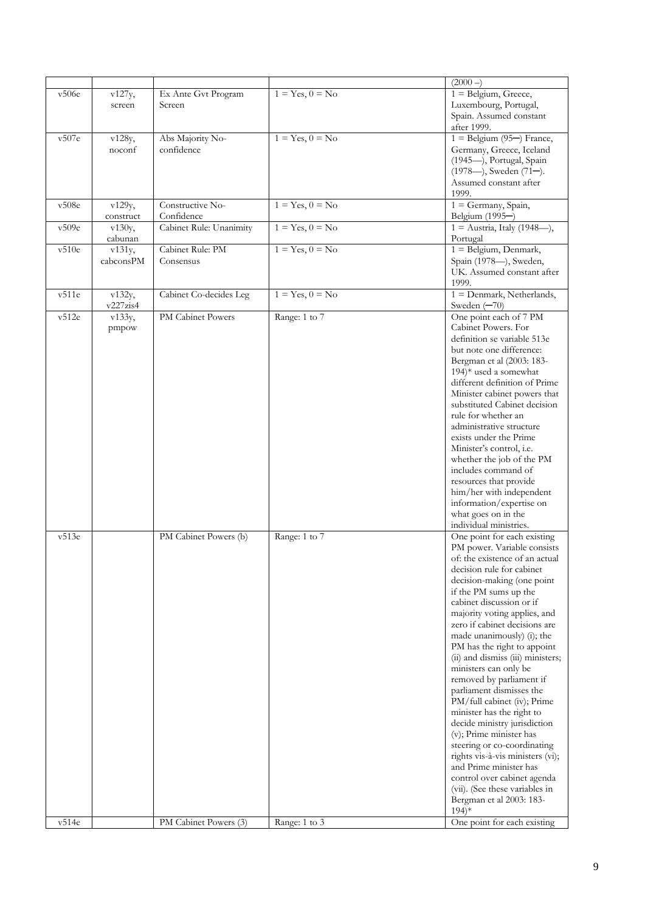|       |                       |                                |                   | $(2000 - )$                                                                                                                                                                                                                                                                                                                                                                                                                                                                                                                                                                                                                                                                                                                                                                                             |
|-------|-----------------------|--------------------------------|-------------------|---------------------------------------------------------------------------------------------------------------------------------------------------------------------------------------------------------------------------------------------------------------------------------------------------------------------------------------------------------------------------------------------------------------------------------------------------------------------------------------------------------------------------------------------------------------------------------------------------------------------------------------------------------------------------------------------------------------------------------------------------------------------------------------------------------|
| v506e | v127y,<br>screen      | Ex Ante Gvt Program<br>Screen  | $1 = Yes, 0 = No$ | $1 =$ Belgium, Greece,<br>Luxembourg, Portugal,<br>Spain. Assumed constant                                                                                                                                                                                                                                                                                                                                                                                                                                                                                                                                                                                                                                                                                                                              |
| v507e | v128y,<br>noconf      | Abs Majority No-<br>confidence | $1 = Yes, 0 = No$ | after 1999.<br>$1 =$ Belgium (95–) France,<br>Germany, Greece, Iceland<br>(1945-), Portugal, Spain<br>(1978-), Sweden (71-).<br>Assumed constant after<br>1999.                                                                                                                                                                                                                                                                                                                                                                                                                                                                                                                                                                                                                                         |
| v508e | v129y,<br>construct   | Constructive No-<br>Confidence | $1 = Yes, 0 = No$ | $1 =$ Germany, Spain,<br>Belgium (1995-)                                                                                                                                                                                                                                                                                                                                                                                                                                                                                                                                                                                                                                                                                                                                                                |
| v509e | v130y,<br>cabunan     | Cabinet Rule: Unanimity        | $1 = Yes, 0 = No$ | $1 =$ Austria, Italy (1948--),<br>Portugal                                                                                                                                                                                                                                                                                                                                                                                                                                                                                                                                                                                                                                                                                                                                                              |
| v510e | v131y,<br>cabconsPM   | Cabinet Rule: PM<br>Consensus  | $1 = Yes, 0 = No$ | $1 =$ Belgium, Denmark,<br>Spain (1978-), Sweden,<br>UK. Assumed constant after<br>1999.                                                                                                                                                                                                                                                                                                                                                                                                                                                                                                                                                                                                                                                                                                                |
| v511e | v132y,<br>$v227z$ is4 | Cabinet Co-decides Leg         | $1 = Yes, 0 = No$ | $1 =$ Denmark, Netherlands,<br>Sweden (-70)                                                                                                                                                                                                                                                                                                                                                                                                                                                                                                                                                                                                                                                                                                                                                             |
| v512e | v133y,<br>pmpow       | PM Cabinet Powers              | Range: 1 to 7     | One point each of 7 PM<br>Cabinet Powers. For<br>definition se variable 513e<br>but note one difference:<br>Bergman et al (2003: 183-<br>194)* used a somewhat<br>different definition of Prime<br>Minister cabinet powers that<br>substituted Cabinet decision<br>rule for whether an<br>administrative structure<br>exists under the Prime<br>Minister's control, i.e.<br>whether the job of the PM<br>includes command of<br>resources that provide<br>him/her with independent<br>information/expertise on<br>what goes on in the<br>individual ministries.                                                                                                                                                                                                                                         |
| v513e |                       | PM Cabinet Powers (b)          | Range: 1 to 7     | One point for each existing<br>PM power. Variable consists<br>of: the existence of an actual<br>decision rule for cabinet<br>decision-making (one point<br>if the PM sums up the<br>cabinet discussion or if<br>majority voting applies, and<br>zero if cabinet decisions are<br>made unanimously) (i); the<br>PM has the right to appoint<br>(ii) and dismiss (iii) ministers;<br>ministers can only be<br>removed by parliament if<br>parliament dismisses the<br>PM/full cabinet (iv); Prime<br>minister has the right to<br>decide ministry jurisdiction<br>(v); Prime minister has<br>steering or co-coordinating<br>rights vis-à-vis ministers (vi);<br>and Prime minister has<br>control over cabinet agenda<br>(vii). (See these variables in<br>Bergman et al 2003: 183-<br>$194$ <sup>*</sup> |
| v514e |                       | PM Cabinet Powers (3)          | Range: 1 to 3     | One point for each existing                                                                                                                                                                                                                                                                                                                                                                                                                                                                                                                                                                                                                                                                                                                                                                             |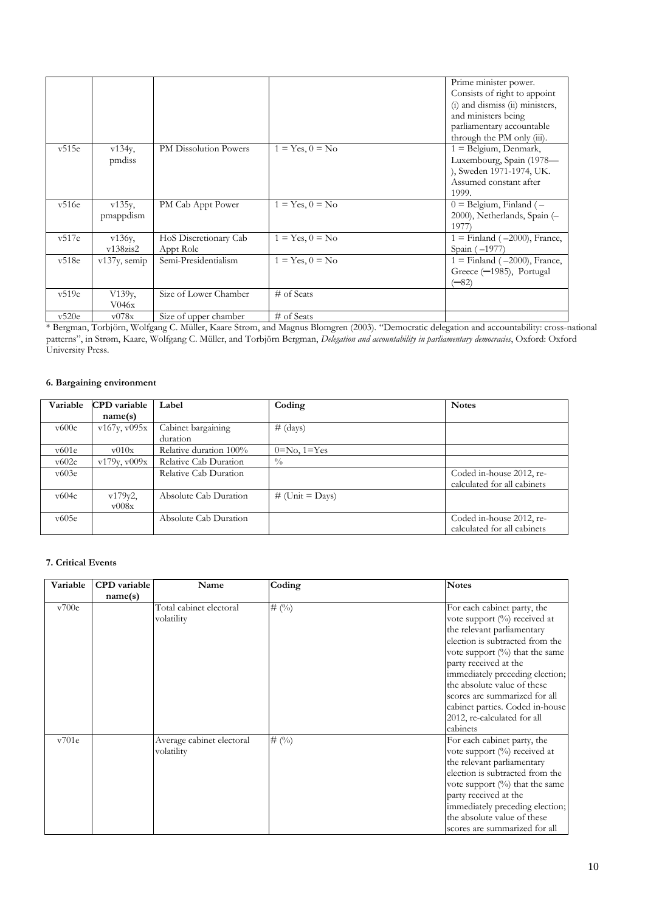|       |                 |                              |                   | Prime minister power.<br>Consists of right to appoint |
|-------|-----------------|------------------------------|-------------------|-------------------------------------------------------|
|       |                 |                              |                   | (i) and dismiss (ii) ministers,                       |
|       |                 |                              |                   | and ministers being                                   |
|       |                 |                              |                   | parliamentary accountable                             |
|       |                 |                              |                   | through the PM only (iii).                            |
| v515e | $v134y$ ,       | <b>PM Dissolution Powers</b> | $1 = Yes, 0 = No$ | $1 =$ Belgium, Denmark,                               |
|       | pmdiss          |                              |                   | Luxembourg, Spain (1978-                              |
|       |                 |                              |                   | ), Sweden 1971-1974, UK.                              |
|       |                 |                              |                   | Assumed constant after                                |
|       |                 |                              |                   | 1999.                                                 |
| v516e | $v135y$ ,       | PM Cab Appt Power            | $1 = Yes, 0 = No$ | $0 =$ Belgium, Finland $($ –                          |
|       | pmappdism       |                              |                   | 2000), Netherlands, Spain (-                          |
|       |                 |                              |                   | 1977                                                  |
| v517e | $v136y$ ,       | HoS Discretionary Cab        | $1 = Yes, 0 = No$ | $1 =$ Finland ( $-2000$ ), France,                    |
|       | $v138z$ is2     | Appt Role                    |                   | Spain (-1977)                                         |
| v518e | $v137y$ , semip | Semi-Presidentialism         | $1 = Yes, 0 = No$ | $1 =$ Finland ( $-2000$ ), France,                    |
|       |                 |                              |                   | Greece (-1985), Portugal                              |
|       |                 |                              |                   | (–82)                                                 |
| v519e | $V139y$ ,       | Size of Lower Chamber        | $#$ of Seats      |                                                       |
|       | V046x           |                              |                   |                                                       |
| v520e | v078x           | Size of upper chamber        | $#$ of Seats      |                                                       |

\* Bergman, Torbjörn, Wolfgang C. Müller, Kaare Strøm, and Magnus Blomgren (2003). "Democratic delegation and accountability: cross-national patterns", in Strøm, Kaare, Wolfgang C. Müller, and Torbjörn Bergman, *Delegation and accountability in parliamentary democracies*, Oxford: Oxford University Press.

#### **6. Bargaining environment**

| Variable | <b>CPD</b> variable | Label                  | Coding                    | <b>Notes</b>                |
|----------|---------------------|------------------------|---------------------------|-----------------------------|
|          | name(s)             |                        |                           |                             |
| v600e    | v167y, v095x        | Cabinet bargaining     | # (days)                  |                             |
|          |                     | duration               |                           |                             |
| v601e    | $\rm v010x$         | Relative duration 100% | $0=N0, 1=Yes$             |                             |
| v602e    | v179y, v009x        | Relative Cab Duration  | $\frac{0}{0}$             |                             |
| v603e    |                     | Relative Cab Duration  |                           | Coded in-house 2012, re-    |
|          |                     |                        |                           | calculated for all cabinets |
| v604e    | $v179y2$ ,          | Absolute Cab Duration  | # (Unit = $\text{Days}$ ) |                             |
|          | v008x               |                        |                           |                             |
| v605e    |                     | Absolute Cab Duration  |                           | Coded in-house 2012, re-    |
|          |                     |                        |                           | calculated for all cabinets |

## **7. Critical Events**

| Variable | <b>CPD</b> variable | Name                                    | Coding         | <b>Notes</b>                                                                                                                                                                                                                                                                                                                                                                |
|----------|---------------------|-----------------------------------------|----------------|-----------------------------------------------------------------------------------------------------------------------------------------------------------------------------------------------------------------------------------------------------------------------------------------------------------------------------------------------------------------------------|
|          | name(s)             |                                         |                |                                                                                                                                                                                                                                                                                                                                                                             |
| v700e    |                     | Total cabinet electoral<br>volatility   | # $(^{0}_{0})$ | For each cabinet party, the<br>vote support (%) received at<br>the relevant parliamentary<br>election is subtracted from the<br>vote support $(\%)$ that the same<br>party received at the<br>immediately preceding election;<br>the absolute value of these<br>scores are summarized for all<br>cabinet parties. Coded in-house<br>2012, re-calculated for all<br>cabinets |
| v701e    |                     | Average cabinet electoral<br>volatility | # $(^{0}_{0})$ | For each cabinet party, the<br>vote support $(\%)$ received at<br>the relevant parliamentary<br>election is subtracted from the<br>vote support $(\%)$ that the same<br>party received at the<br>immediately preceding election;<br>the absolute value of these<br>scores are summarized for all                                                                            |